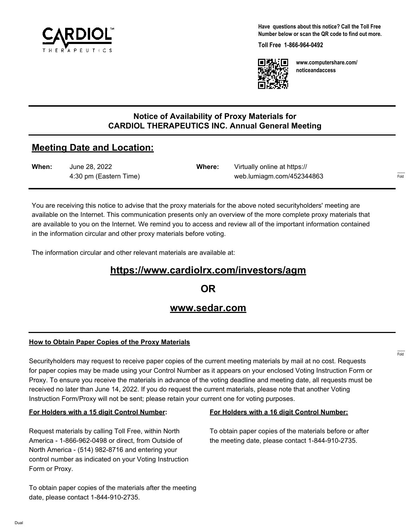

**Have questions about this notice? Call the Toll Free Number below or scan the QR code to find out more.**

**Toll Free 1-866-964-0492**



**www.computershare.com/ noticeandaccess**

## **Notice of Availability of Proxy Materials for CARDIOL THERAPEUTICS INC. Annual General Meeting**

# **Meeting Date and Location:**

| When: | June 28, 2022          | Where: | Virtually online at https:// |     |
|-------|------------------------|--------|------------------------------|-----|
|       | 4:30 pm (Eastern Time) |        | web.lumiagm.com/452344863    | --- |

You are receiving this notice to advise that the proxy materials for the above noted securityholders' meeting are available on the Internet. This communication presents only an overview of the more complete proxy materials that are available to you on the Internet. We remind you to access and review all of the important information contained in the information circular and other proxy materials before voting.

The information circular and other relevant materials are available at:

# **https://www.cardiolrx.com/investors/agm**

**OR**

## **www.sedar.com**

## **How to Obtain Paper Copies of the Proxy Materials**

Securityholders may request to receive paper copies of the current meeting materials by mail at no cost. Requests for paper copies may be made using your Control Number as it appears on your enclosed Voting Instruction Form or Proxy. To ensure you receive the materials in advance of the voting deadline and meeting date, all requests must be received no later than June 14, 2022. If you do request the current materials, please note that another Voting Instruction Form/Proxy will not be sent; please retain your current one for voting purposes.

#### **For Holders with a 15 digit Control Number:**

Request materials by calling Toll Free, within North America - 1-866-962-0498 or direct, from Outside of North America - (514) 982-8716 and entering your control number as indicated on your Voting Instruction Form or Proxy.

# **For Holders with a 16 digit Control Number:**

To obtain paper copies of the materials before or after the meeting date, please contact 1-844-910-2735.

To obtain paper copies of the materials after the meeting date, please contact 1-844-910-2735.

------- Fold